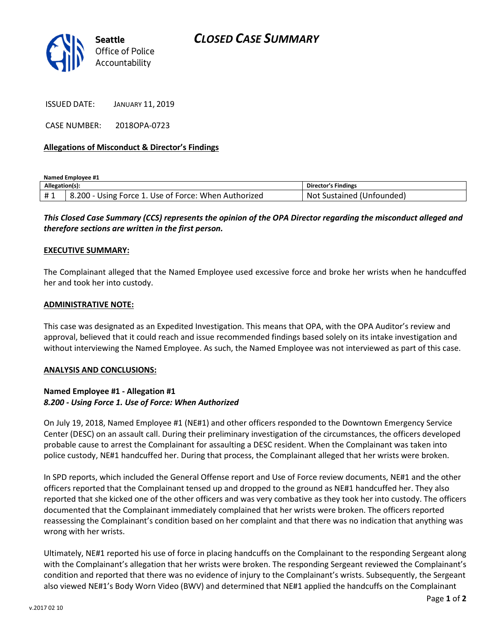

ISSUED DATE: JANUARY 11, 2019

CASE NUMBER: 2018OPA-0723

## Allegations of Misconduct & Director's Findings

Named Employee #1

| Allegation(s): |                                                               | <b>Director's Findings</b>            |
|----------------|---------------------------------------------------------------|---------------------------------------|
| #1             | 1. Use of Force: When Authorized<br>8.200<br>Force 1<br>Jsıng | . Sustained (F<br>.Unfounded)<br>Not. |

This Closed Case Summary (CCS) represents the opinion of the OPA Director regarding the misconduct alleged and therefore sections are written in the first person.

#### EXECUTIVE SUMMARY:

The Complainant alleged that the Named Employee used excessive force and broke her wrists when he handcuffed her and took her into custody.

### ADMINISTRATIVE NOTE:

This case was designated as an Expedited Investigation. This means that OPA, with the OPA Auditor's review and approval, believed that it could reach and issue recommended findings based solely on its intake investigation and without interviewing the Named Employee. As such, the Named Employee was not interviewed as part of this case.

#### ANALYSIS AND CONCLUSIONS:

## Named Employee #1 - Allegation #1 8.200 - Using Force 1. Use of Force: When Authorized

On July 19, 2018, Named Employee #1 (NE#1) and other officers responded to the Downtown Emergency Service Center (DESC) on an assault call. During their preliminary investigation of the circumstances, the officers developed probable cause to arrest the Complainant for assaulting a DESC resident. When the Complainant was taken into police custody, NE#1 handcuffed her. During that process, the Complainant alleged that her wrists were broken.

In SPD reports, which included the General Offense report and Use of Force review documents, NE#1 and the other officers reported that the Complainant tensed up and dropped to the ground as NE#1 handcuffed her. They also reported that she kicked one of the other officers and was very combative as they took her into custody. The officers documented that the Complainant immediately complained that her wrists were broken. The officers reported reassessing the Complainant's condition based on her complaint and that there was no indication that anything was wrong with her wrists.

Ultimately, NE#1 reported his use of force in placing handcuffs on the Complainant to the responding Sergeant along with the Complainant's allegation that her wrists were broken. The responding Sergeant reviewed the Complainant's condition and reported that there was no evidence of injury to the Complainant's wrists. Subsequently, the Sergeant also viewed NE#1's Body Worn Video (BWV) and determined that NE#1 applied the handcuffs on the Complainant